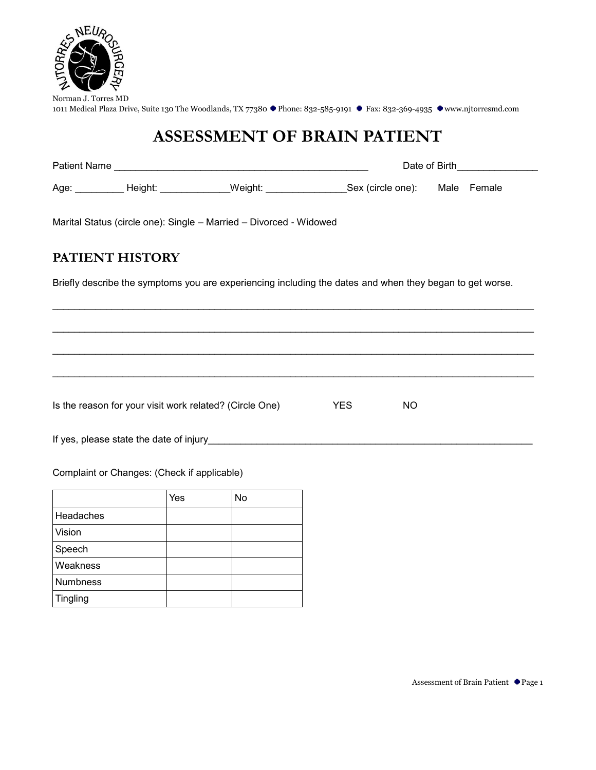

# **ASSESSMENT OF BRAIN PATIENT**

|                 |                                             |                                                                                                          |      | Date of Birth <b>Exercise Services</b> |  |  |  |
|-----------------|---------------------------------------------|----------------------------------------------------------------------------------------------------------|------|----------------------------------------|--|--|--|
|                 |                                             | Age: __________ Height: _____________Weight: ___________________Sex (circle one): Male Female            |      |                                        |  |  |  |
|                 |                                             | Marital Status (circle one): Single - Married - Divorced - Widowed                                       |      |                                        |  |  |  |
| PATIENT HISTORY |                                             |                                                                                                          |      |                                        |  |  |  |
|                 |                                             | Briefly describe the symptoms you are experiencing including the dates and when they began to get worse. |      |                                        |  |  |  |
|                 |                                             |                                                                                                          |      |                                        |  |  |  |
|                 |                                             |                                                                                                          |      |                                        |  |  |  |
|                 |                                             |                                                                                                          |      |                                        |  |  |  |
|                 |                                             | Is the reason for your visit work related? (Circle One)                                                  | YES. | <b>NO</b>                              |  |  |  |
|                 |                                             |                                                                                                          |      |                                        |  |  |  |
|                 | Complaint or Changes: (Check if applicable) |                                                                                                          |      |                                        |  |  |  |

|                 | Yes | No |
|-----------------|-----|----|
| Headaches       |     |    |
| Vision          |     |    |
| Speech          |     |    |
| Weakness        |     |    |
| <b>Numbness</b> |     |    |
| Tingling        |     |    |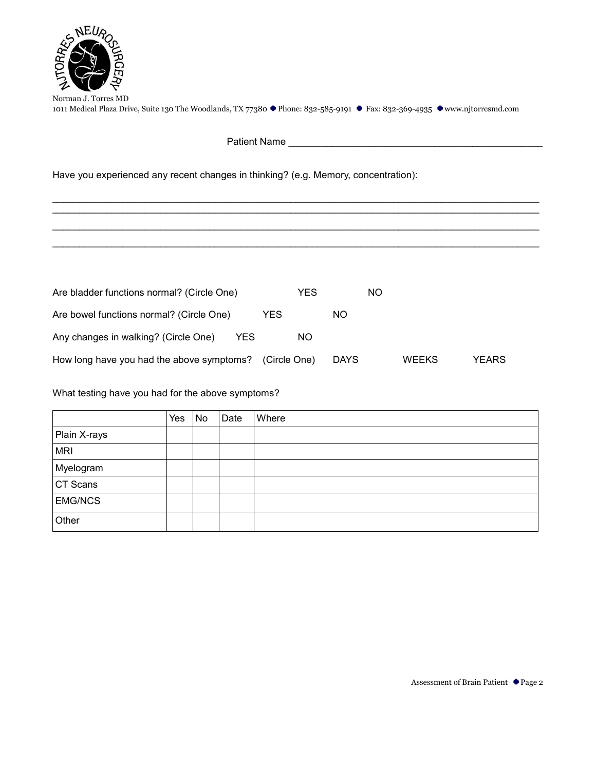

 $\mathcal{L}_\text{max}$  , and the contribution of the contribution of the contribution of the contribution of the contribution of the contribution of the contribution of the contribution of the contribution of the contribution of t  $\mathcal{L}_\text{max} = \{ \mathcal{L}_\text{max} = \{ \mathcal{L}_\text{max} = \{ \mathcal{L}_\text{max} = \{ \mathcal{L}_\text{max} = \{ \mathcal{L}_\text{max} = \{ \mathcal{L}_\text{max} = \{ \mathcal{L}_\text{max} = \{ \mathcal{L}_\text{max} = \{ \mathcal{L}_\text{max} = \{ \mathcal{L}_\text{max} = \{ \mathcal{L}_\text{max} = \{ \mathcal{L}_\text{max} = \{ \mathcal{L}_\text{max} = \{ \mathcal{L}_\text{max} = \{ \mathcal{L}_\text{max$  $\mathcal{L}_\text{max}$  , and the contribution of the contribution of the contribution of the contribution of the contribution of the contribution of the contribution of the contribution of the contribution of the contribution of t  $\mathcal{L}_\text{max}$  , and the contribution of the contribution of the contribution of the contribution of the contribution of the contribution of the contribution of the contribution of the contribution of the contribution of t

Patient Name \_\_\_\_\_\_\_\_\_\_\_\_\_\_\_\_\_\_\_\_\_\_\_\_\_\_\_\_\_\_\_\_\_\_\_\_\_\_\_\_\_\_\_\_\_\_\_

Have you experienced any recent changes in thinking? (e.g. Memory, concentration):

| Are bladder functions normal? (Circle One)   | YES          |             | NO.          |       |
|----------------------------------------------|--------------|-------------|--------------|-------|
| Are bowel functions normal? (Circle One)     | YES          | NO.         |              |       |
| Any changes in walking? (Circle One)<br>YES. | NO.          |             |              |       |
| How long have you had the above symptoms?    | (Circle One) | <b>DAYS</b> | <b>WEEKS</b> | YEARS |

What testing have you had for the above symptoms?

|                | Yes | No | Date | Where |
|----------------|-----|----|------|-------|
| Plain X-rays   |     |    |      |       |
| <b>MRI</b>     |     |    |      |       |
| Myelogram      |     |    |      |       |
| CT Scans       |     |    |      |       |
| <b>EMG/NCS</b> |     |    |      |       |
| Other          |     |    |      |       |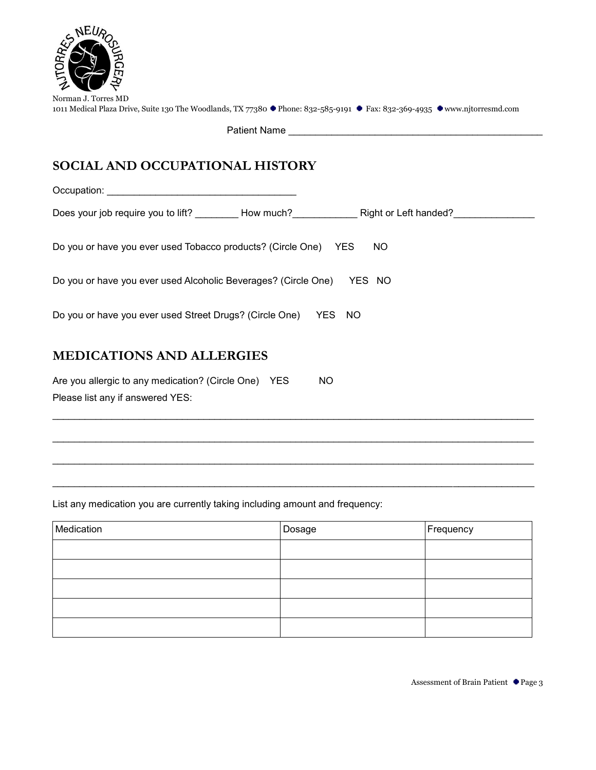

Please list any if answered YES:

| Norman J. Torres MD                                                                                                       |  |  |
|---------------------------------------------------------------------------------------------------------------------------|--|--|
| 1011 Medical Plaza Drive, Suite 130 The Woodlands, TX 77380 ● Phone: 832-585-9191 ● Fax: 832-369-4935 ●www.njtorresmd.com |  |  |

Patient Name **Example 20** 

## **SOCIAL AND OCCUPATIONAL HISTORY**

| Do you or have you ever used Tobacco products? (Circle One) YES | NO.    |
|-----------------------------------------------------------------|--------|
| Do you or have you ever used Alcoholic Beverages? (Circle One)  | YES NO |
| Do you or have you ever used Street Drugs? (Circle One)         | YES NO |
| <b>MEDICATIONS AND ALLERGIES</b>                                |        |
| Are you allergic to any medication? (Circle One) YES            | ΝO     |

 $\mathcal{L}_\text{max} = \{ \mathcal{L}_\text{max} = \{ \mathcal{L}_\text{max} = \{ \mathcal{L}_\text{max} = \{ \mathcal{L}_\text{max} = \{ \mathcal{L}_\text{max} = \{ \mathcal{L}_\text{max} = \{ \mathcal{L}_\text{max} = \{ \mathcal{L}_\text{max} = \{ \mathcal{L}_\text{max} = \{ \mathcal{L}_\text{max} = \{ \mathcal{L}_\text{max} = \{ \mathcal{L}_\text{max} = \{ \mathcal{L}_\text{max} = \{ \mathcal{L}_\text{max} = \{ \mathcal{L}_\text{max$ 

 $\mathcal{L}_\text{max} = \{ \mathcal{L}_\text{max} = \{ \mathcal{L}_\text{max} = \{ \mathcal{L}_\text{max} = \{ \mathcal{L}_\text{max} = \{ \mathcal{L}_\text{max} = \{ \mathcal{L}_\text{max} = \{ \mathcal{L}_\text{max} = \{ \mathcal{L}_\text{max} = \{ \mathcal{L}_\text{max} = \{ \mathcal{L}_\text{max} = \{ \mathcal{L}_\text{max} = \{ \mathcal{L}_\text{max} = \{ \mathcal{L}_\text{max} = \{ \mathcal{L}_\text{max} = \{ \mathcal{L}_\text{max$ 

 $\mathcal{L}_\text{max} = \mathcal{L}_\text{max} = \mathcal{L}_\text{max} = \mathcal{L}_\text{max} = \mathcal{L}_\text{max} = \mathcal{L}_\text{max} = \mathcal{L}_\text{max} = \mathcal{L}_\text{max} = \mathcal{L}_\text{max} = \mathcal{L}_\text{max} = \mathcal{L}_\text{max} = \mathcal{L}_\text{max} = \mathcal{L}_\text{max} = \mathcal{L}_\text{max} = \mathcal{L}_\text{max} = \mathcal{L}_\text{max} = \mathcal{L}_\text{max} = \mathcal{L}_\text{max} = \mathcal{$ 

 $\mathcal{L}_\text{max} = \{ \mathcal{L}_\text{max} = \{ \mathcal{L}_\text{max} = \{ \mathcal{L}_\text{max} = \{ \mathcal{L}_\text{max} = \{ \mathcal{L}_\text{max} = \{ \mathcal{L}_\text{max} = \{ \mathcal{L}_\text{max} = \{ \mathcal{L}_\text{max} = \{ \mathcal{L}_\text{max} = \{ \mathcal{L}_\text{max} = \{ \mathcal{L}_\text{max} = \{ \mathcal{L}_\text{max} = \{ \mathcal{L}_\text{max} = \{ \mathcal{L}_\text{max} = \{ \mathcal{L}_\text{max$ 

List any medication you are currently taking including amount and frequency:

| Medication | Dosage | Frequency |
|------------|--------|-----------|
|            |        |           |
|            |        |           |
|            |        |           |
|            |        |           |
|            |        |           |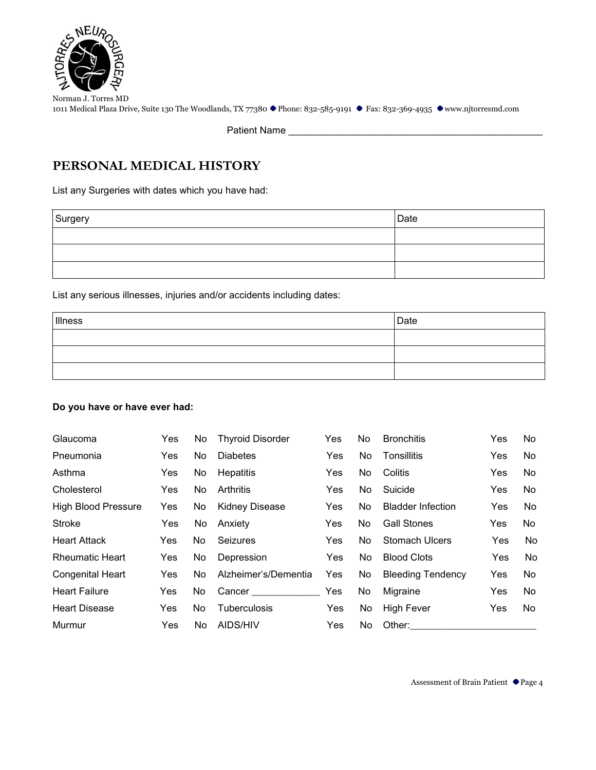

Patient Name

### **PERSONAL MEDICAL HISTORY**

List any Surgeries with dates which you have had:

| Surgery | Date |
|---------|------|
|         |      |
|         |      |
|         |      |

List any serious illnesses, injuries and/or accidents including dates:

| Illness | Date |
|---------|------|
|         |      |
|         |      |
|         |      |

#### **Do you have or have ever had:**

| Glaucoma                   | Yes        | No  | <b>Thyroid Disorder</b> | <b>Yes</b> | No. | <b>Bronchitis</b>        | Yes        | No  |
|----------------------------|------------|-----|-------------------------|------------|-----|--------------------------|------------|-----|
| Pneumonia                  | Yes.       | No. | <b>Diabetes</b>         | Yes        | No. | Tonsillitis              | <b>Yes</b> | No. |
| Asthma                     | <b>Yes</b> | No. | Hepatitis               | <b>Yes</b> | No. | Colitis                  | <b>Yes</b> | No  |
| Cholesterol                | <b>Yes</b> | No. | Arthritis               | <b>Yes</b> | No. | Suicide                  | <b>Yes</b> | No. |
| <b>High Blood Pressure</b> | Yes        | No. | <b>Kidney Disease</b>   | Yes        | No. | <b>Bladder Infection</b> | Yes        | No  |
| Stroke                     | Yes        | No  | Anxiety                 | Yes        | No. | <b>Gall Stones</b>       | <b>Yes</b> | No  |
| <b>Heart Attack</b>        | Yes        | No. | <b>Seizures</b>         | <b>Yes</b> | No. | Stomach Ulcers           | Yes        | No  |
| <b>Rheumatic Heart</b>     | <b>Yes</b> | No  | Depression              | Yes        | No. | <b>Blood Clots</b>       | Yes        | No  |
| <b>Congenital Heart</b>    | Yes        | No. | Alzheimer's/Dementia    | Yes        | No. | <b>Bleeding Tendency</b> | Yes        | No  |
| <b>Heart Failure</b>       | Yes        | No. | Cancer ______________   | <b>Yes</b> | No  | Migraine                 | Yes        | No  |
| <b>Heart Disease</b>       | Yes        | No. | <b>Tuberculosis</b>     | Yes        | No  | <b>High Fever</b>        | <b>Yes</b> | No. |
| Murmur                     | Yes        | No. | AIDS/HIV                | Yes        | No  | Other:                   |            |     |